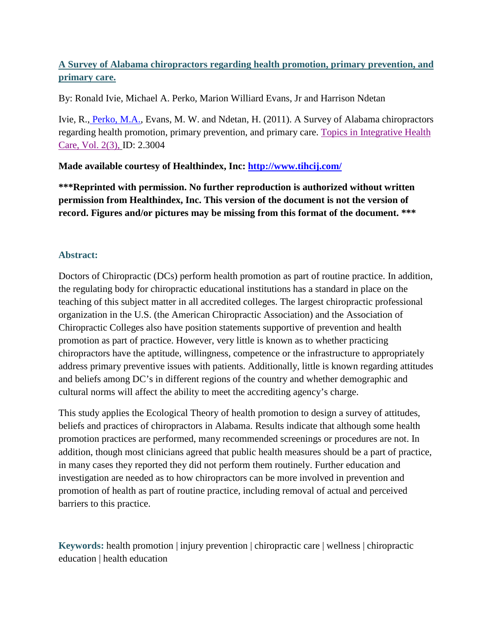# **A Survey of Alabama chiropractors regarding health promotion, primary prevention, and primary care.**

By: Ronald Ivie, Michael A. Perko, Marion Williard Evans, Jr and Harrison Ndetan

Ivie, R., [Perko, M.A.,](http://libres.uncg.edu/ir/uncg/clist.aspx?id=3237) Evans, M. W. and Ndetan, H. (2011). A Survey of Alabama chiropractors regarding health promotion, primary prevention, and primary care. [Topics in Integrative Health](http://www.tihcij.com/Articles/A-Survey-of-Alabama-Chiropractors-Regarding-Health-Promotion-Primary-Prevention-and-Primary-Care.aspx?id=0000303)  [Care, Vol. 2\(3\),](http://www.tihcij.com/Articles/A-Survey-of-Alabama-Chiropractors-Regarding-Health-Promotion-Primary-Prevention-and-Primary-Care.aspx?id=0000303) ID: 2.3004

**Made available courtesy of Healthindex, Inc:<http://www.tihcij.com/>**

**\*\*\*Reprinted with permission. No further reproduction is authorized without written permission from Healthindex, Inc. This version of the document is not the version of record. Figures and/or pictures may be missing from this format of the document. \*\*\***

# **Abstract:**

Doctors of Chiropractic (DCs) perform health promotion as part of routine practice. In addition, the regulating body for chiropractic educational institutions has a standard in place on the teaching of this subject matter in all accredited colleges. The largest chiropractic professional organization in the U.S. (the American Chiropractic Association) and the Association of Chiropractic Colleges also have position statements supportive of prevention and health promotion as part of practice. However, very little is known as to whether practicing chiropractors have the aptitude, willingness, competence or the infrastructure to appropriately address primary preventive issues with patients. Additionally, little is known regarding attitudes and beliefs among DC's in different regions of the country and whether demographic and cultural norms will affect the ability to meet the accrediting agency's charge.

This study applies the Ecological Theory of health promotion to design a survey of attitudes, beliefs and practices of chiropractors in Alabama. Results indicate that although some health promotion practices are performed, many recommended screenings or procedures are not. In addition, though most clinicians agreed that public health measures should be a part of practice, in many cases they reported they did not perform them routinely. Further education and investigation are needed as to how chiropractors can be more involved in prevention and promotion of health as part of routine practice, including removal of actual and perceived barriers to this practice.

**Keywords:** health promotion | injury prevention | chiropractic care | wellness | chiropractic education | health education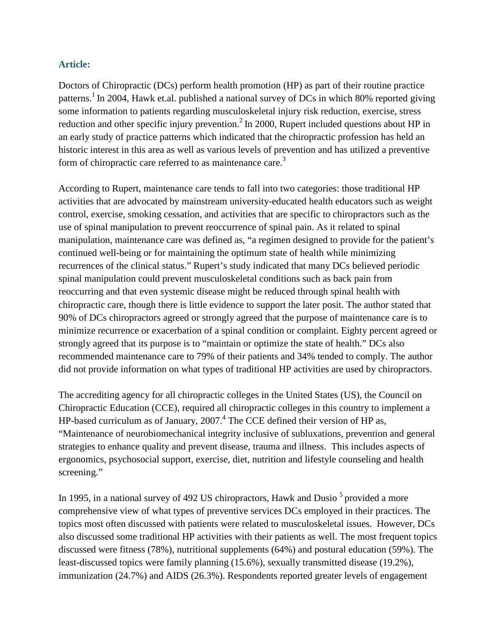## **Article:**

Doctors of Chiropractic (DCs) perform health promotion (HP) as part of their routine practice patterns.<sup>1</sup> In 2004, Hawk et.al. published a national survey of DCs in which 80% reported giving some information to patients regarding musculoskeletal injury risk reduction, exercise, stress reduction and other specific injury prevention.<sup>2</sup> In 2000, Rupert included questions about HP in an early study of practice patterns which indicated that the chiropractic profession has held an historic interest in this area as well as various levels of prevention and has utilized a preventive form of chiropractic care referred to as maintenance care.<sup>3</sup>

According to Rupert, maintenance care tends to fall into two categories: those traditional HP activities that are advocated by mainstream university-educated health educators such as weight control, exercise, smoking cessation, and activities that are specific to chiropractors such as the use of spinal manipulation to prevent reoccurrence of spinal pain. As it related to spinal manipulation, maintenance care was defined as, "a regimen designed to provide for the patient's continued well-being or for maintaining the optimum state of health while minimizing recurrences of the clinical status." Rupert's study indicated that many DCs believed periodic spinal manipulation could prevent musculoskeletal conditions such as back pain from reoccurring and that even systemic disease might be reduced through spinal health with chiropractic care, though there is little evidence to support the later posit. The author stated that 90% of DCs chiropractors agreed or strongly agreed that the purpose of maintenance care is to minimize recurrence or exacerbation of a spinal condition or complaint. Eighty percent agreed or strongly agreed that its purpose is to "maintain or optimize the state of health." DCs also recommended maintenance care to 79% of their patients and 34% tended to comply. The author did not provide information on what types of traditional HP activities are used by chiropractors.

The accrediting agency for all chiropractic colleges in the United States (US), the Council on Chiropractic Education (CCE), required all chiropractic colleges in this country to implement a HP-based curriculum as of January,  $2007<sup>4</sup>$  The CCE defined their version of HP as, "Maintenance of neurobiomechanical integrity inclusive of subluxations, prevention and general strategies to enhance quality and prevent disease, trauma and illness. This includes aspects of ergonomics, psychosocial support, exercise, diet, nutrition and lifestyle counseling and health screening."

In 1995, in a national survey of 492 US chiropractors, Hawk and Dusio  $\frac{5}{3}$  provided a more comprehensive view of what types of preventive services DCs employed in their practices. The topics most often discussed with patients were related to musculoskeletal issues. However, DCs also discussed some traditional HP activities with their patients as well. The most frequent topics discussed were fitness (78%), nutritional supplements (64%) and postural education (59%). The least-discussed topics were family planning (15.6%), sexually transmitted disease (19.2%), immunization (24.7%) and AIDS (26.3%). Respondents reported greater levels of engagement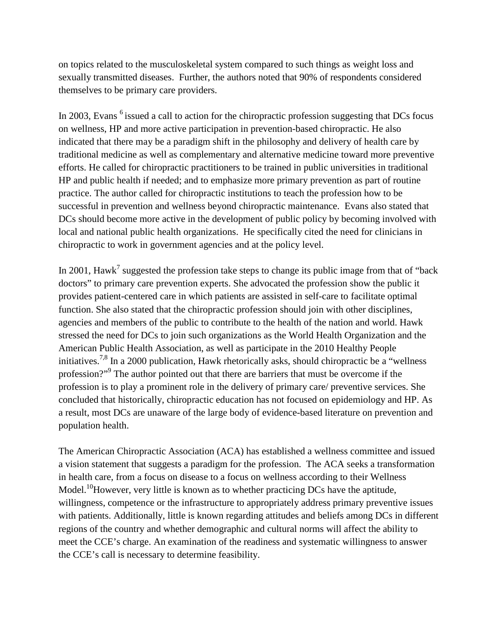on topics related to the musculoskeletal system compared to such things as weight loss and sexually transmitted diseases. Further, the authors noted that 90% of respondents considered themselves to be primary care providers.

In 2003, Evans <sup>6</sup> issued a call to action for the chiropractic profession suggesting that DCs focus on wellness, HP and more active participation in prevention-based chiropractic. He also indicated that there may be a paradigm shift in the philosophy and delivery of health care by traditional medicine as well as complementary and alternative medicine toward more preventive efforts. He called for chiropractic practitioners to be trained in public universities in traditional HP and public health if needed; and to emphasize more primary prevention as part of routine practice. The author called for chiropractic institutions to teach the profession how to be successful in prevention and wellness beyond chiropractic maintenance. Evans also stated that DCs should become more active in the development of public policy by becoming involved with local and national public health organizations. He specifically cited the need for clinicians in chiropractic to work in government agencies and at the policy level.

In 2001, Hawk<sup>7</sup> suggested the profession take steps to change its public image from that of "back" doctors" to primary care prevention experts. She advocated the profession show the public it provides patient-centered care in which patients are assisted in self-care to facilitate optimal function. She also stated that the chiropractic profession should join with other disciplines, agencies and members of the public to contribute to the health of the nation and world. Hawk stressed the need for DCs to join such organizations as the World Health Organization and the American Public Health Association, as well as participate in the 2010 Healthy People initiatives.<sup>7,8</sup> In a 2000 publication, Hawk rhetorically asks, should chiropractic be a "wellness" profession?"9 The author pointed out that there are barriers that must be overcome if the profession is to play a prominent role in the delivery of primary care/ preventive services. She concluded that historically, chiropractic education has not focused on epidemiology and HP. As a result, most DCs are unaware of the large body of evidence-based literature on prevention and population health.

The American Chiropractic Association (ACA) has established a wellness committee and issued a vision statement that suggests a paradigm for the profession. The ACA seeks a transformation in health care, from a focus on disease to a focus on wellness according to their Wellness Model.<sup>10</sup>However, very little is known as to whether practicing DCs have the aptitude, willingness, competence or the infrastructure to appropriately address primary preventive issues with patients. Additionally, little is known regarding attitudes and beliefs among DCs in different regions of the country and whether demographic and cultural norms will affect the ability to meet the CCE's charge. An examination of the readiness and systematic willingness to answer the CCE's call is necessary to determine feasibility.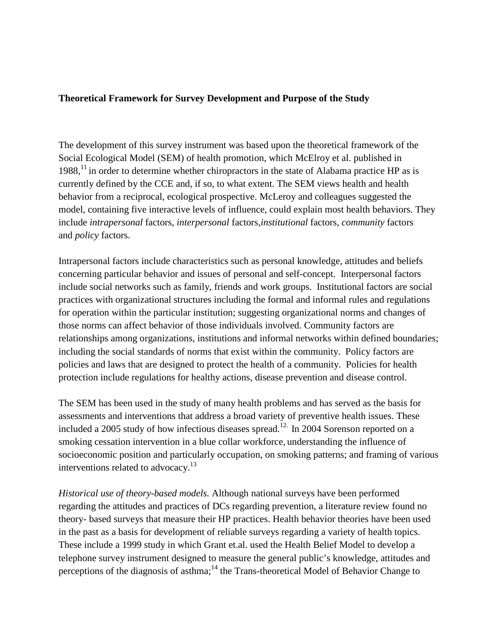## **Theoretical Framework for Survey Development and Purpose of the Study**

The development of this survey instrument was based upon the theoretical framework of the Social Ecological Model (SEM) of health promotion, which McElroy et al. published in  $1988$ ,<sup>11</sup> in order to determine whether chiropractors in the state of Alabama practice HP as is currently defined by the CCE and, if so, to what extent. The SEM views health and health behavior from a reciprocal, ecological prospective. McLeroy and colleagues suggested the model, containing five interactive levels of influence, could explain most health behaviors. They include *intrapersonal* factors, *interpersonal* factors,*institutional* factors, *community* factors and *policy* factors.

Intrapersonal factors include characteristics such as personal knowledge, attitudes and beliefs concerning particular behavior and issues of personal and self-concept. Interpersonal factors include social networks such as family, friends and work groups. Institutional factors are social practices with organizational structures including the formal and informal rules and regulations for operation within the particular institution; suggesting organizational norms and changes of those norms can affect behavior of those individuals involved. Community factors are relationships among organizations, institutions and informal networks within defined boundaries; including the social standards of norms that exist within the community. Policy factors are policies and laws that are designed to protect the health of a community. Policies for health protection include regulations for healthy actions, disease prevention and disease control.

The SEM has been used in the study of many health problems and has served as the basis for assessments and interventions that address a broad variety of preventive health issues. These included a 2005 study of how infectious diseases spread.<sup>12.</sup> In 2004 Sorenson reported on a smoking cessation intervention in a blue collar workforce, understanding the influence of socioeconomic position and particularly occupation, on smoking patterns; and framing of various interventions related to advocacy.<sup>13</sup>

*Historical use of theory-based models.* Although national surveys have been performed regarding the attitudes and practices of DCs regarding prevention, a literature review found no theory- based surveys that measure their HP practices. Health behavior theories have been used in the past as a basis for development of reliable surveys regarding a variety of health topics. These include a 1999 study in which Grant et.al. used the Health Belief Model to develop a telephone survey instrument designed to measure the general public's knowledge, attitudes and perceptions of the diagnosis of asthma;<sup>14</sup> the Trans-theoretical Model of Behavior Change to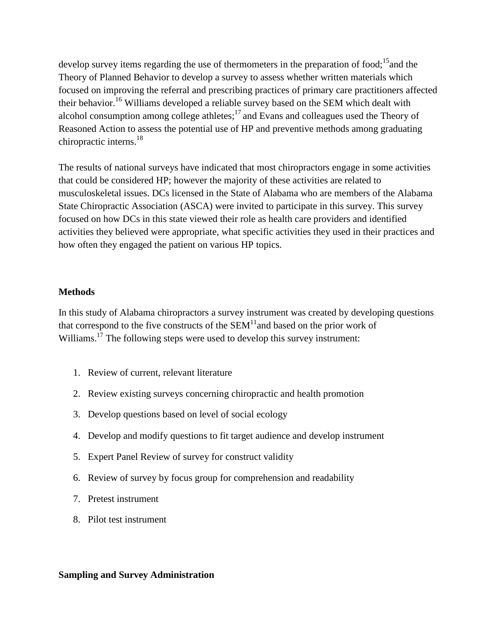develop survey items regarding the use of thermometers in the preparation of food;<sup>15</sup> and the Theory of Planned Behavior to develop a survey to assess whether written materials which focused on improving the referral and prescribing practices of primary care practitioners affected their behavior.<sup>16</sup> Williams developed a reliable survey based on the SEM which dealt with alcohol consumption among college athletes; $^{17}$  and Evans and colleagues used the Theory of Reasoned Action to assess the potential use of HP and preventive methods among graduating chiropractic interns.<sup>18</sup>

The results of national surveys have indicated that most chiropractors engage in some activities that could be considered HP; however the majority of these activities are related to musculoskeletal issues. DCs licensed in the State of Alabama who are members of the Alabama State Chiropractic Association (ASCA) were invited to participate in this survey. This survey focused on how DCs in this state viewed their role as health care providers and identified activities they believed were appropriate, what specific activities they used in their practices and how often they engaged the patient on various HP topics.

### **Methods**

In this study of Alabama chiropractors a survey instrument was created by developing questions that correspond to the five constructs of the  $SEM<sup>11</sup>$  and based on the prior work of Williams.<sup>17</sup> The following steps were used to develop this survey instrument:

- 1. Review of current, relevant literature
- 2. Review existing surveys concerning chiropractic and health promotion
- 3. Develop questions based on level of social ecology
- 4. Develop and modify questions to fit target audience and develop instrument
- 5. Expert Panel Review of survey for construct validity
- 6. Review of survey by focus group for comprehension and readability
- 7. Pretest instrument
- 8. Pilot test instrument

### **Sampling and Survey Administration**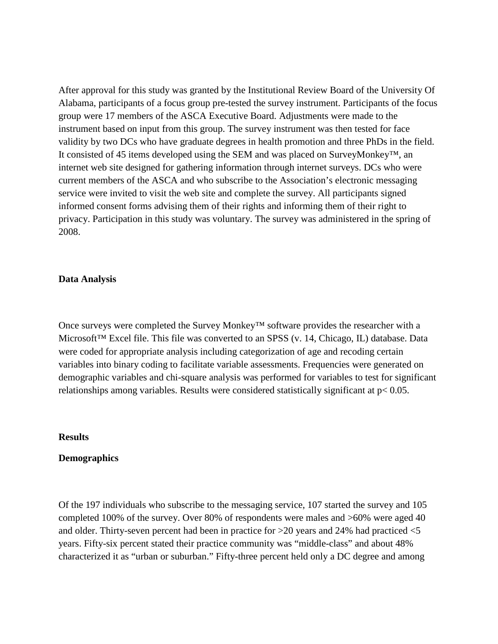After approval for this study was granted by the Institutional Review Board of the University Of Alabama, participants of a focus group pre-tested the survey instrument. Participants of the focus group were 17 members of the ASCA Executive Board. Adjustments were made to the instrument based on input from this group. The survey instrument was then tested for face validity by two DCs who have graduate degrees in health promotion and three PhDs in the field. It consisted of 45 items developed using the SEM and was placed on SurveyMonkey™, an internet web site designed for gathering information through internet surveys. DCs who were current members of the ASCA and who subscribe to the Association's electronic messaging service were invited to visit the web site and complete the survey. All participants signed informed consent forms advising them of their rights and informing them of their right to privacy. Participation in this study was voluntary. The survey was administered in the spring of 2008.

#### **Data Analysis**

Once surveys were completed the Survey Monkey™ software provides the researcher with a Microsoft™ Excel file. This file was converted to an SPSS (v. 14, Chicago, IL) database. Data were coded for appropriate analysis including categorization of age and recoding certain variables into binary coding to facilitate variable assessments. Frequencies were generated on demographic variables and chi-square analysis was performed for variables to test for significant relationships among variables. Results were considered statistically significant at p< 0.05.

#### **Results**

#### **Demographics**

Of the 197 individuals who subscribe to the messaging service, 107 started the survey and 105 completed 100% of the survey. Over 80% of respondents were males and >60% were aged 40 and older. Thirty-seven percent had been in practice for >20 years and 24% had practiced <5 years. Fifty-six percent stated their practice community was "middle-class" and about 48% characterized it as "urban or suburban." Fifty-three percent held only a DC degree and among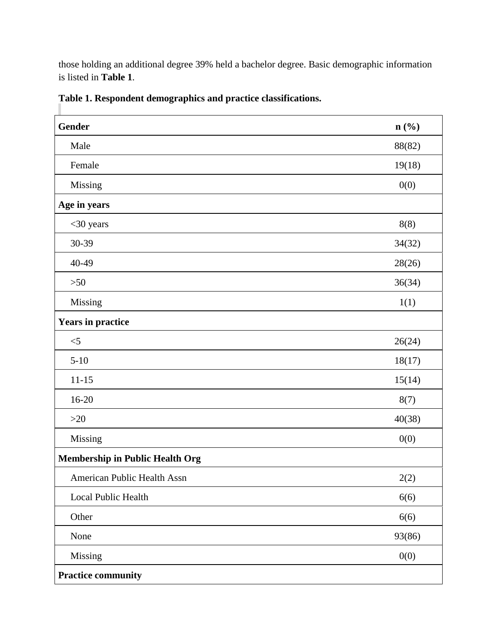those holding an additional degree 39% held a bachelor degree. Basic demographic information is listed in **Table 1**.

| <b>Gender</b>                          | $n\left(\frac{0}{0}\right)$ |
|----------------------------------------|-----------------------------|
| Male                                   | 88(82)                      |
| Female                                 | 19(18)                      |
| Missing                                | 0(0)                        |
| Age in years                           |                             |
| $<$ 30 years                           | 8(8)                        |
| 30-39                                  | 34(32)                      |
| 40-49                                  | 28(26)                      |
| $>50$                                  | 36(34)                      |
| Missing                                | 1(1)                        |
| <b>Years in practice</b>               |                             |
| $<\!\!5$                               | 26(24)                      |
| $5 - 10$                               | 18(17)                      |
| $11 - 15$                              | 15(14)                      |
| $16 - 20$                              | 8(7)                        |
| $>20$                                  | 40(38)                      |
| Missing                                | 0(0)                        |
| <b>Membership in Public Health Org</b> |                             |
| American Public Health Assn            | 2(2)                        |
| Local Public Health                    | 6(6)                        |
| Other                                  | 6(6)                        |
| None                                   | 93(86)                      |
| Missing                                | 0(0)                        |
| <b>Practice community</b>              |                             |

**Table 1. Respondent demographics and practice classifications.**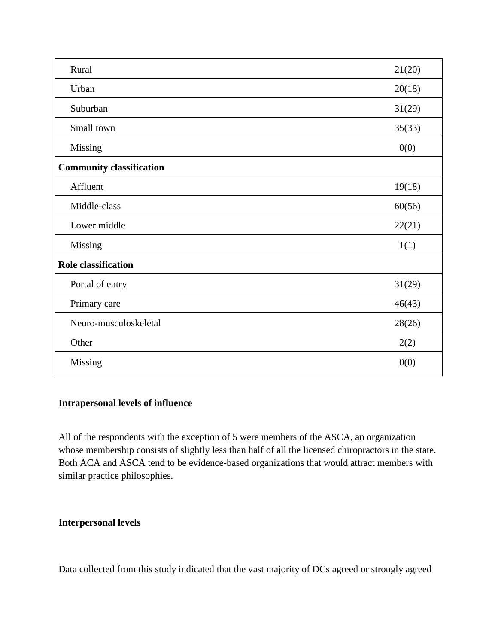| Rural                           | 21(20) |
|---------------------------------|--------|
| Urban                           | 20(18) |
| Suburban                        | 31(29) |
| Small town                      | 35(33) |
| Missing                         | 0(0)   |
| <b>Community classification</b> |        |
| Affluent                        | 19(18) |
| Middle-class                    | 60(56) |
| Lower middle                    | 22(21) |
| Missing                         | 1(1)   |
| <b>Role classification</b>      |        |
| Portal of entry                 | 31(29) |
| Primary care                    | 46(43) |
| Neuro-musculoskeletal           | 28(26) |
| Other                           | 2(2)   |
| Missing                         | 0(0)   |

# **Intrapersonal levels of influence**

All of the respondents with the exception of 5 were members of the ASCA, an organization whose membership consists of slightly less than half of all the licensed chiropractors in the state. Both ACA and ASCA tend to be evidence-based organizations that would attract members with similar practice philosophies.

### **Interpersonal levels**

Data collected from this study indicated that the vast majority of DCs agreed or strongly agreed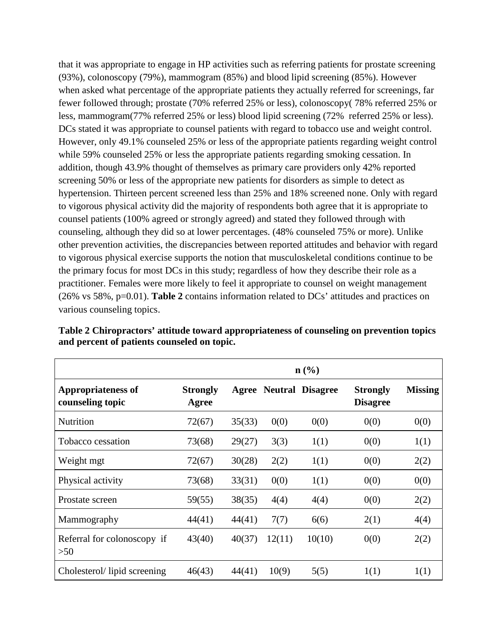that it was appropriate to engage in HP activities such as referring patients for prostate screening (93%), colonoscopy (79%), mammogram (85%) and blood lipid screening (85%). However when asked what percentage of the appropriate patients they actually referred for screenings, far fewer followed through; prostate (70% referred 25% or less), colonoscopy( 78% referred 25% or less, mammogram(77% referred 25% or less) blood lipid screening (72% referred 25% or less). DCs stated it was appropriate to counsel patients with regard to tobacco use and weight control. However, only 49.1% counseled 25% or less of the appropriate patients regarding weight control while 59% counseled 25% or less the appropriate patients regarding smoking cessation. In addition, though 43.9% thought of themselves as primary care providers only 42% reported screening 50% or less of the appropriate new patients for disorders as simple to detect as hypertension. Thirteen percent screened less than 25% and 18% screened none. Only with regard to vigorous physical activity did the majority of respondents both agree that it is appropriate to counsel patients (100% agreed or strongly agreed) and stated they followed through with counseling, although they did so at lower percentages. (48% counseled 75% or more). Unlike other prevention activities, the discrepancies between reported attitudes and behavior with regard to vigorous physical exercise supports the notion that musculoskeletal conditions continue to be the primary focus for most DCs in this study; regardless of how they describe their role as a practitioner. Females were more likely to feel it appropriate to counsel on weight management (26% vs 58%, p=0.01). **Table 2** contains information related to DCs' attitudes and practices on various counseling topics.

|                                               | $n\left(\frac{0}{0}\right)$ |        |        |                               |                                    |                |
|-----------------------------------------------|-----------------------------|--------|--------|-------------------------------|------------------------------------|----------------|
| <b>Appropriateness of</b><br>counseling topic | <b>Strongly</b><br>Agree    |        |        | <b>Agree Neutral Disagree</b> | <b>Strongly</b><br><b>Disagree</b> | <b>Missing</b> |
| Nutrition                                     | 72(67)                      | 35(33) | 0(0)   | 0(0)                          | 0(0)                               | 0(0)           |
| Tobacco cessation                             | 73(68)                      | 29(27) | 3(3)   | 1(1)                          | 0(0)                               | 1(1)           |
| Weight mgt                                    | 72(67)                      | 30(28) | 2(2)   | 1(1)                          | 0(0)                               | 2(2)           |
| Physical activity                             | 73(68)                      | 33(31) | 0(0)   | 1(1)                          | 0(0)                               | 0(0)           |
| Prostate screen                               | 59(55)                      | 38(35) | 4(4)   | 4(4)                          | 0(0)                               | 2(2)           |
| Mammography                                   | 44(41)                      | 44(41) | 7(7)   | 6(6)                          | 2(1)                               | 4(4)           |
| Referral for colonoscopy if<br>>50            | 43(40)                      | 40(37) | 12(11) | 10(10)                        | 0(0)                               | 2(2)           |
| Cholesterol/lipid screening                   | 46(43)                      | 44(41) | 10(9)  | 5(5)                          | 1(1)                               | 1(1)           |

**Table 2 Chiropractors' attitude toward appropriateness of counseling on prevention topics and percent of patients counseled on topic.**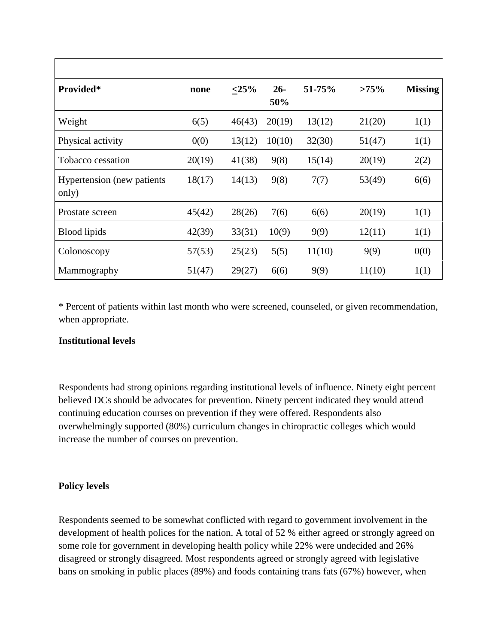| Provided*                                   | none   | $\leq 25\%$ | $26 -$<br>50% | 51-75% | $>75\%$ | <b>Missing</b> |
|---------------------------------------------|--------|-------------|---------------|--------|---------|----------------|
| Weight                                      | 6(5)   | 46(43)      | 20(19)        | 13(12) | 21(20)  | 1(1)           |
| Physical activity                           | 0(0)   | 13(12)      | 10(10)        | 32(30) | 51(47)  | 1(1)           |
| Tobacco cessation                           | 20(19) | 41(38)      | 9(8)          | 15(14) | 20(19)  | 2(2)           |
| <b>Hypertension</b> (new patients)<br>only) | 18(17) | 14(13)      | 9(8)          | 7(7)   | 53(49)  | 6(6)           |
| Prostate screen                             | 45(42) | 28(26)      | 7(6)          | 6(6)   | 20(19)  | 1(1)           |
| <b>Blood</b> lipids                         | 42(39) | 33(31)      | 10(9)         | 9(9)   | 12(11)  | 1(1)           |
| Colonoscopy                                 | 57(53) | 25(23)      | 5(5)          | 11(10) | 9(9)    | 0(0)           |
| Mammography                                 | 51(47) | 29(27)      | 6(6)          | 9(9)   | 11(10)  | 1(1)           |

\* Percent of patients within last month who were screened, counseled, or given recommendation, when appropriate.

# **Institutional levels**

Respondents had strong opinions regarding institutional levels of influence. Ninety eight percent believed DCs should be advocates for prevention. Ninety percent indicated they would attend continuing education courses on prevention if they were offered. Respondents also overwhelmingly supported (80%) curriculum changes in chiropractic colleges which would increase the number of courses on prevention.

# **Policy levels**

Respondents seemed to be somewhat conflicted with regard to government involvement in the development of health polices for the nation. A total of 52 % either agreed or strongly agreed on some role for government in developing health policy while 22% were undecided and 26% disagreed or strongly disagreed. Most respondents agreed or strongly agreed with legislative bans on smoking in public places (89%) and foods containing trans fats (67%) however, when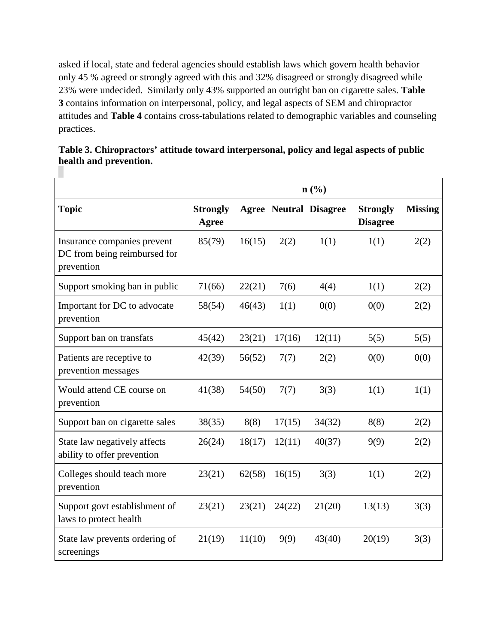asked if local, state and federal agencies should establish laws which govern health behavior only 45 % agreed or strongly agreed with this and 32% disagreed or strongly disagreed while 23% were undecided. Similarly only 43% supported an outright ban on cigarette sales. **Table 3** contains information on interpersonal, policy, and legal aspects of SEM and chiropractor attitudes and **Table 4** contains cross-tabulations related to demographic variables and counseling practices.

|                                                                           | $n\left(\frac{0}{0}\right)$ |        |        |                               |                                    |                |
|---------------------------------------------------------------------------|-----------------------------|--------|--------|-------------------------------|------------------------------------|----------------|
| <b>Topic</b>                                                              | <b>Strongly</b><br>Agree    |        |        | <b>Agree Neutral Disagree</b> | <b>Strongly</b><br><b>Disagree</b> | <b>Missing</b> |
| Insurance companies prevent<br>DC from being reimbursed for<br>prevention | 85(79)                      | 16(15) | 2(2)   | 1(1)                          | 1(1)                               | 2(2)           |
| Support smoking ban in public                                             | 71(66)                      | 22(21) | 7(6)   | 4(4)                          | 1(1)                               | 2(2)           |
| Important for DC to advocate<br>prevention                                | 58(54)                      | 46(43) | 1(1)   | 0(0)                          | 0(0)                               | 2(2)           |
| Support ban on transfats                                                  | 45(42)                      | 23(21) | 17(16) | 12(11)                        | 5(5)                               | 5(5)           |
| Patients are receptive to<br>prevention messages                          | 42(39)                      | 56(52) | 7(7)   | 2(2)                          | 0(0)                               | 0(0)           |
| Would attend CE course on<br>prevention                                   | 41(38)                      | 54(50) | 7(7)   | 3(3)                          | 1(1)                               | 1(1)           |
| Support ban on cigarette sales                                            | 38(35)                      | 8(8)   | 17(15) | 34(32)                        | 8(8)                               | 2(2)           |
| State law negatively affects<br>ability to offer prevention               | 26(24)                      | 18(17) | 12(11) | 40(37)                        | 9(9)                               | 2(2)           |
| Colleges should teach more<br>prevention                                  | 23(21)                      | 62(58) | 16(15) | 3(3)                          | 1(1)                               | 2(2)           |
| Support govt establishment of<br>laws to protect health                   | 23(21)                      | 23(21) | 24(22) | 21(20)                        | 13(13)                             | 3(3)           |
| State law prevents ordering of<br>screenings                              | 21(19)                      | 11(10) | 9(9)   | 43(40)                        | 20(19)                             | 3(3)           |

|                        | Table 3. Chiropractors' attitude toward interpersonal, policy and legal aspects of public |  |
|------------------------|-------------------------------------------------------------------------------------------|--|
| health and prevention. |                                                                                           |  |

<u> 1980 - Johann Barn, mars ann an t-Amhain Aonaich an t-Aonaich an t-Aonaich ann an t-Aonaich ann an t-Aonaich</u>

×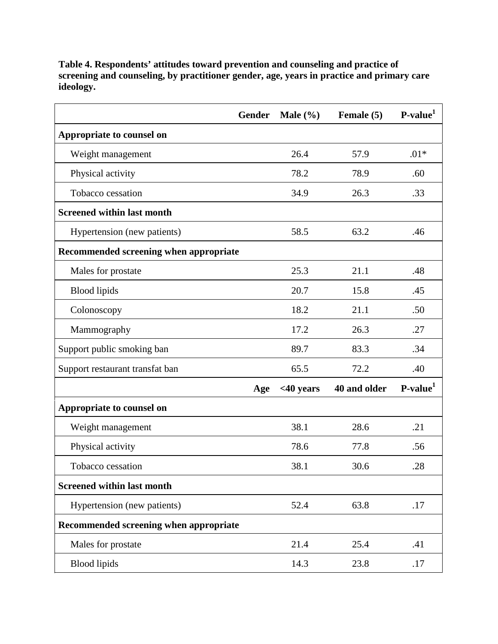| <b>Gender</b>                          |     | Male $(\% )$ | Female (5)   | $P-value1$ |
|----------------------------------------|-----|--------------|--------------|------------|
| Appropriate to counsel on              |     |              |              |            |
| Weight management                      |     | 26.4         | 57.9         | $.01*$     |
| Physical activity                      |     | 78.2         | 78.9         | .60        |
| Tobacco cessation                      |     | 34.9         | 26.3         | .33        |
| <b>Screened within last month</b>      |     |              |              |            |
| Hypertension (new patients)            |     | 58.5         | 63.2         | .46        |
| Recommended screening when appropriate |     |              |              |            |
| Males for prostate                     |     | 25.3         | 21.1         | .48        |
| <b>Blood</b> lipids                    |     | 20.7         | 15.8         | .45        |
| Colonoscopy                            |     | 18.2         | 21.1         | .50        |
| Mammography                            |     | 17.2         | 26.3         | .27        |
| Support public smoking ban             |     | 89.7         | 83.3         | .34        |
| Support restaurant transfat ban        |     | 65.5         | 72.2         | .40        |
|                                        | Age | $<$ 40 years | 40 and older | $P-value1$ |
| Appropriate to counsel on              |     |              |              |            |
| Weight management                      |     | 38.1         | 28.6         | .21        |
| Physical activity                      |     | 78.6         | 77.8         | .56        |
| Tobacco cessation                      |     | 38.1         | 30.6         | .28        |
| <b>Screened within last month</b>      |     |              |              |            |
| Hypertension (new patients)            |     | 52.4         | 63.8         | .17        |
| Recommended screening when appropriate |     |              |              |            |
| Males for prostate                     |     | 21.4         | 25.4         | .41        |
| <b>Blood</b> lipids                    |     | 14.3         | 23.8         | .17        |

**Table 4. Respondents' attitudes toward prevention and counseling and practice of screening and counseling, by practitioner gender, age, years in practice and primary care ideology.**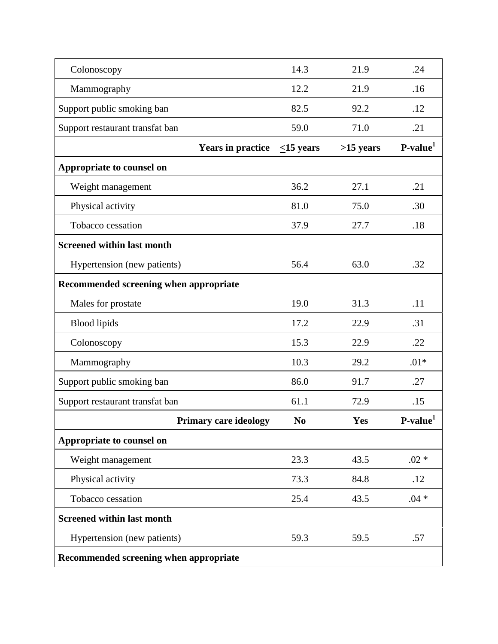| Colonoscopy                            | 14.3            | 21.9      | .24                  |
|----------------------------------------|-----------------|-----------|----------------------|
| Mammography                            | 12.2            | 21.9      | .16                  |
| Support public smoking ban             | 82.5            | 92.2      | .12                  |
| Support restaurant transfat ban        | 59.0            | 71.0      | .21                  |
| <b>Years in practice</b>               | $\leq$ 15 years | >15 years | P-value <sup>1</sup> |
| Appropriate to counsel on              |                 |           |                      |
| Weight management                      | 36.2            | 27.1      | .21                  |
| Physical activity                      | 81.0            | 75.0      | .30                  |
| Tobacco cessation                      | 37.9            | 27.7      | .18                  |
| <b>Screened within last month</b>      |                 |           |                      |
| Hypertension (new patients)            | 56.4            | 63.0      | .32                  |
| Recommended screening when appropriate |                 |           |                      |
| Males for prostate                     | 19.0            | 31.3      | .11                  |
| <b>Blood</b> lipids                    | 17.2            | 22.9      | .31                  |
| Colonoscopy                            | 15.3            | 22.9      | .22                  |
| Mammography                            | 10.3            | 29.2      | $.01*$               |
| Support public smoking ban             | 86.0            | 91.7      | .27                  |
| Support restaurant transfat ban        | 61.1            | 72.9      | .15                  |
| <b>Primary care ideology</b>           | N <sub>0</sub>  | Yes       | P-value <sup>1</sup> |
| Appropriate to counsel on              |                 |           |                      |
| Weight management                      | 23.3            | 43.5      | $.02 *$              |
| Physical activity                      | 73.3            | 84.8      | .12                  |
| Tobacco cessation                      | 25.4            | 43.5      | $.04 *$              |
| <b>Screened within last month</b>      |                 |           |                      |
| Hypertension (new patients)            | 59.3            | 59.5      | .57                  |
| Recommended screening when appropriate |                 |           |                      |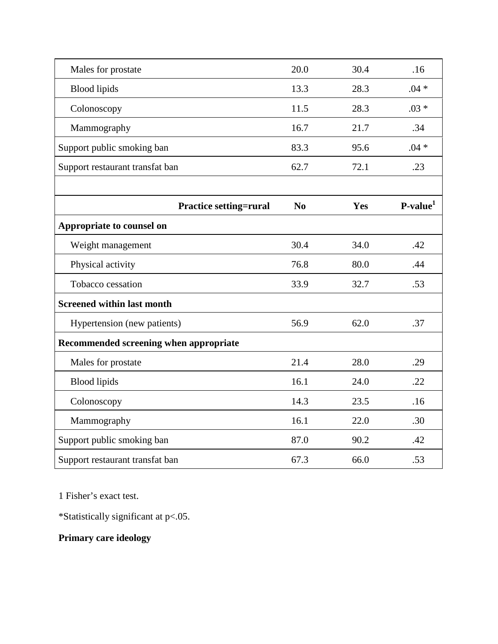| Males for prostate                     | 20.0 | 30.4 | .16        |
|----------------------------------------|------|------|------------|
| <b>Blood</b> lipids                    | 13.3 | 28.3 | $.04 *$    |
| Colonoscopy                            | 11.5 | 28.3 | $.03 *$    |
| Mammography                            | 16.7 | 21.7 | .34        |
| Support public smoking ban             | 83.3 | 95.6 | $.04 *$    |
| Support restaurant transfat ban        | 62.7 | 72.1 | .23        |
|                                        |      |      |            |
| <b>Practice setting=rural</b>          | No   | Yes  | $P-value1$ |
| Appropriate to counsel on              |      |      |            |
| Weight management                      | 30.4 | 34.0 | .42        |
| Physical activity                      | 76.8 | 80.0 | .44        |
| Tobacco cessation                      | 33.9 | 32.7 | .53        |
| <b>Screened within last month</b>      |      |      |            |
| Hypertension (new patients)            | 56.9 | 62.0 | .37        |
| Recommended screening when appropriate |      |      |            |
| Males for prostate                     | 21.4 | 28.0 | .29        |
| <b>Blood</b> lipids                    | 16.1 | 24.0 | .22        |
| Colonoscopy                            | 14.3 | 23.5 | .16        |
| Mammography                            | 16.1 | 22.0 | .30        |
| Support public smoking ban             | 87.0 | 90.2 | .42        |
| Support restaurant transfat ban        | 67.3 | 66.0 | .53        |

1 Fisher's exact test.

\*Statistically significant at p<.05.

# **Primary care ideology**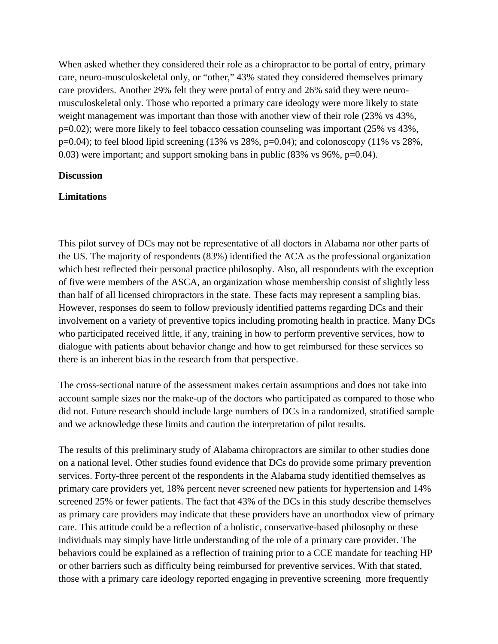When asked whether they considered their role as a chiropractor to be portal of entry, primary care, neuro-musculoskeletal only, or "other," 43% stated they considered themselves primary care providers. Another 29% felt they were portal of entry and 26% said they were neuromusculoskeletal only. Those who reported a primary care ideology were more likely to state weight management was important than those with another view of their role (23% vs 43%, p=0.02); were more likely to feel tobacco cessation counseling was important (25% vs 43%,  $p=0.04$ ); to feel blood lipid screening (13% vs 28%,  $p=0.04$ ); and colonoscopy (11% vs 28%, 0.03) were important; and support smoking bans in public (83% vs 96%, p=0.04).

### **Discussion**

#### **Limitations**

This pilot survey of DCs may not be representative of all doctors in Alabama nor other parts of the US. The majority of respondents (83%) identified the ACA as the professional organization which best reflected their personal practice philosophy. Also, all respondents with the exception of five were members of the ASCA, an organization whose membership consist of slightly less than half of all licensed chiropractors in the state. These facts may represent a sampling bias. However, responses do seem to follow previously identified patterns regarding DCs and their involvement on a variety of preventive topics including promoting health in practice. Many DCs who participated received little, if any, training in how to perform preventive services, how to dialogue with patients about behavior change and how to get reimbursed for these services so there is an inherent bias in the research from that perspective.

The cross-sectional nature of the assessment makes certain assumptions and does not take into account sample sizes nor the make-up of the doctors who participated as compared to those who did not. Future research should include large numbers of DCs in a randomized, stratified sample and we acknowledge these limits and caution the interpretation of pilot results.

The results of this preliminary study of Alabama chiropractors are similar to other studies done on a national level. Other studies found evidence that DCs do provide some primary prevention services. Forty-three percent of the respondents in the Alabama study identified themselves as primary care providers yet, 18% percent never screened new patients for hypertension and 14% screened 25% or fewer patients. The fact that 43% of the DCs in this study describe themselves as primary care providers may indicate that these providers have an unorthodox view of primary care. This attitude could be a reflection of a holistic, conservative-based philosophy or these individuals may simply have little understanding of the role of a primary care provider. The behaviors could be explained as a reflection of training prior to a CCE mandate for teaching HP or other barriers such as difficulty being reimbursed for preventive services. With that stated, those with a primary care ideology reported engaging in preventive screening more frequently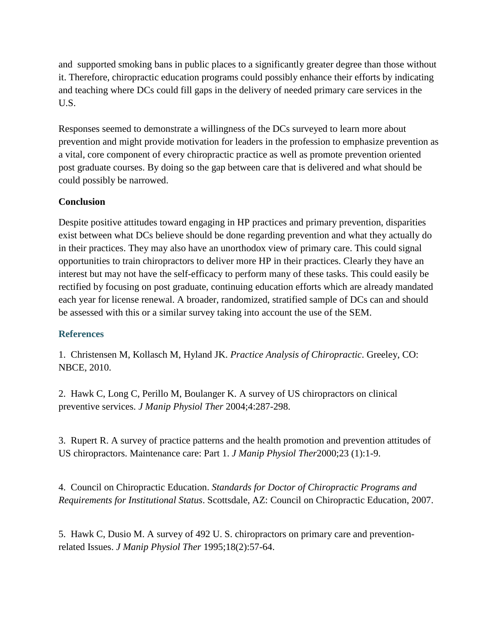and supported smoking bans in public places to a significantly greater degree than those without it. Therefore, chiropractic education programs could possibly enhance their efforts by indicating and teaching where DCs could fill gaps in the delivery of needed primary care services in the U.S.

Responses seemed to demonstrate a willingness of the DCs surveyed to learn more about prevention and might provide motivation for leaders in the profession to emphasize prevention as a vital, core component of every chiropractic practice as well as promote prevention oriented post graduate courses. By doing so the gap between care that is delivered and what should be could possibly be narrowed.

# **Conclusion**

Despite positive attitudes toward engaging in HP practices and primary prevention, disparities exist between what DCs believe should be done regarding prevention and what they actually do in their practices. They may also have an unorthodox view of primary care. This could signal opportunities to train chiropractors to deliver more HP in their practices. Clearly they have an interest but may not have the self-efficacy to perform many of these tasks. This could easily be rectified by focusing on post graduate, continuing education efforts which are already mandated each year for license renewal. A broader, randomized, stratified sample of DCs can and should be assessed with this or a similar survey taking into account the use of the SEM.

# **References**

1. Christensen M, Kollasch M, Hyland JK. *Practice Analysis of Chiropractic*. Greeley, CO: NBCE, 2010.

2. Hawk C, Long C, Perillo M, Boulanger K. A survey of US chiropractors on clinical preventive services. *J Manip Physiol Ther* 2004;4:287-298.

3. Rupert R. A survey of practice patterns and the health promotion and prevention attitudes of US chiropractors. Maintenance care: Part 1. *J Manip Physiol Ther*2000;23 (1):1-9.

4. Council on Chiropractic Education. *Standards for Doctor of Chiropractic Programs and Requirements for Institutional Status*. Scottsdale, AZ: Council on Chiropractic Education, 2007.

5. Hawk C, Dusio M. A survey of 492 U. S. chiropractors on primary care and preventionrelated Issues. *J Manip Physiol Ther* 1995;18(2):57-64.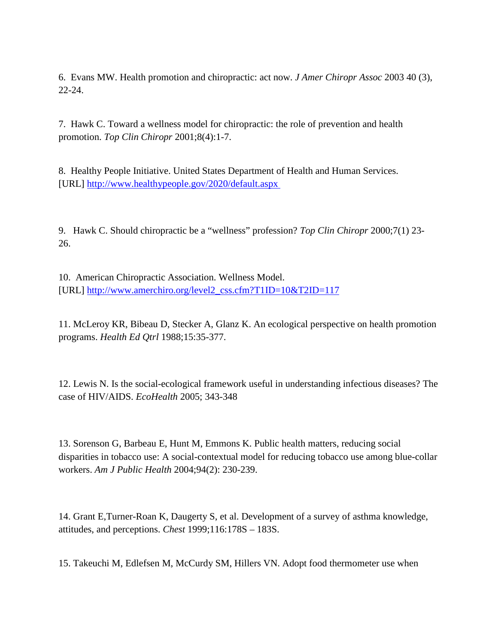6. Evans MW. Health promotion and chiropractic: act now. *J Amer Chiropr Assoc* 2003 40 (3), 22-24.

7. Hawk C. Toward a wellness model for chiropractic: the role of prevention and health promotion. *Top Clin Chiropr* 2001;8(4):1-7.

8. Healthy People Initiative. United States Department of Health and Human Services. [URL] <http://www.healthypeople.gov/2020/default.aspx>

9. Hawk C. Should chiropractic be a "wellness" profession? *Top Clin Chiropr* 2000;7(1) 23- 26.

10. American Chiropractic Association. Wellness Model. [URL] [http://www.amerchiro.org/level2\\_css.cfm?T1ID=10&T2ID=117](http://www.amerchiro.org/level2_css.cfm?T1ID=10&T2ID=117)

11. McLeroy KR, Bibeau D, Stecker A, Glanz K. An ecological perspective on health promotion programs. *Health Ed Qtrl* 1988;15:35-377.

12. Lewis N. Is the social-ecological framework useful in understanding infectious diseases? The case of HIV/AIDS. *EcoHealth* 2005; 343-348

13. Sorenson G, Barbeau E, Hunt M, Emmons K. Public health matters, reducing social disparities in tobacco use: A social-contextual model for reducing tobacco use among blue-collar workers. *Am J Public Health* 2004;94(2): 230-239.

14. Grant E,Turner-Roan K, Daugerty S, et al. Development of a survey of asthma knowledge, attitudes, and perceptions. *Chest* 1999;116:178S – 183S.

15. Takeuchi M, Edlefsen M, McCurdy SM, Hillers VN. Adopt food thermometer use when